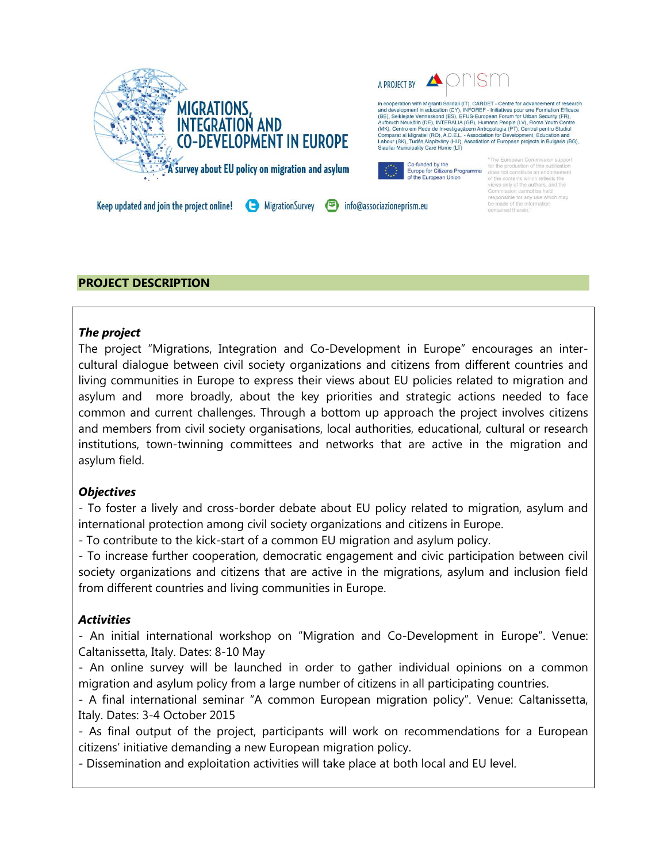

### **PROJECT DESCRIPTION**

#### *The project*

The project "Migrations, Integration and Co-Development in Europe" encourages an intercultural dialogue between civil society organizations and citizens from different countries and living communities in Europe to express their views about EU policies related to migration and asylum and more broadly, about the key priorities and strategic actions needed to face common and current challenges. Through a bottom up approach the project involves citizens and members from civil society organisations, local authorities, educational, cultural or research institutions, town-twinning committees and networks that are active in the migration and asylum field.

### *Objectives*

- To foster a lively and cross-border debate about EU policy related to migration, asylum and international protection among civil society organizations and citizens in Europe.

- To contribute to the kick-start of a common EU migration and asylum policy.

- To increase further cooperation, democratic engagement and civic participation between civil society organizations and citizens that are active in the migrations, asylum and inclusion field from different countries and living communities in Europe.

### *Activities*

- An initial international workshop on "Migration and Co-Development in Europe". Venue: Caltanissetta, Italy. Dates: 8-10 May

- An online survey will be launched in order to gather individual opinions on a common migration and asylum policy from a large number of citizens in all participating countries.

- A final international seminar "A common European migration policy". Venue: Caltanissetta, Italy. Dates: 3-4 October 2015

- As final output of the project, participants will work on recommendations for a European citizens' initiative demanding a new European migration policy.

- Dissemination and exploitation activities will take place at both local and EU level.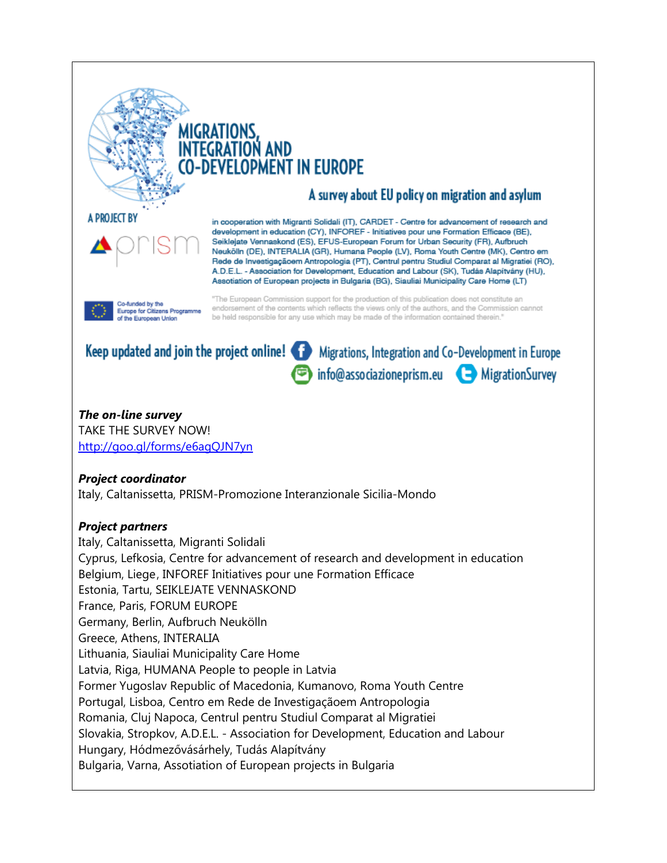

A PROJECT BY

# **MIGRATIONS,** I AND -DEVELOPMENT IN EUROPE

## A survey about EU policy on migration and asylum

in cooperation with Migranti Solidali (IT), CARDET - Centre for advancement of research and development in education (CY), INFOREF - Initiatives pour une Formation Efficace (BE), Seiklejate Vennaskond (ES), EFUS-European Forum for Urban Security (FR), Aufbruch Neukölin (DE), INTERALIA (GR), Humana People (LV), Roma Youth Centre (MK), Centro em Rede de Investigaçãoem Antropologia (PT), Centrul pentru Studiul Comparat al Migratiei (RO), A.D.E.L. - Association for Development, Education and Labour (SK), Tudás Alapítvány (HU), Assotiation of European projects in Bulgaria (BG), Siauliai Municipality Care Home (LT)



"The European Commission support for the production of this publication does not constitute an endorsement of the contents which reflects the views only of the authors, and the Commission cannot be held responsible for any use which may be made of the information contained therein."



 $info@$  associazione prism.eu  $\Box$  Migration Survey

## *The on-line survey*

TAKE THE SURVEY NOW! <http://goo.gl/forms/e6agQJN7yn>

### *Project coordinator*

Italy, Caltanissetta, PRISM-Promozione Interanzionale Sicilia-Mondo

### *Project partners*

Italy, Caltanissetta, Migranti Solidali Cyprus, Lefkosia, Centre for advancement of research and development in education Belgium, Liege, INFOREF Initiatives pour une Formation Efficace Estonia, Tartu, SEIKLEJATE VENNASKOND France, Paris, FORUM EUROPE Germany, Berlin, Aufbruch Neukölln Greece, Athens, INTERALIA Lithuania, Siauliai Municipality Care Home Latvia, Riga, HUMANA People to people in Latvia Former Yugoslav Republic of Macedonia, Kumanovo, Roma Youth Centre Portugal, Lisboa, Centro em Rede de Investigaçãoem Antropologia Romania, Cluj Napoca, Centrul pentru Studiul Comparat al Migratiei Slovakia, Stropkov, A.D.E.L. - Association for Development, Education and Labour Hungary, Hódmezővásárhely, Tudás Alapítvány Bulgaria, Varna, Assotiation of European projects in Bulgaria